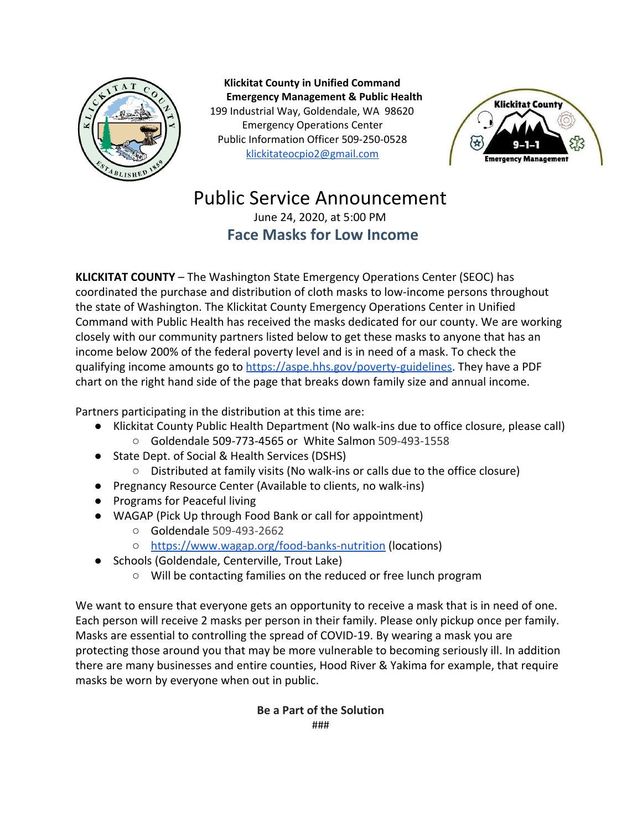

**Klickitat County in Unified Command Emergency Management & Public Health** 199 Industrial Way, Goldendale, WA 98620 Emergency Operations Center Public Information Officer 509-250-0528 [klickitateocpio2@gmail.com](mailto:klickitateocpio@gmail.com)



## Public Service Announcement

June 24, 2020, at 5:00 PM **Face Masks for Low Income**

**KLICKITAT COUNTY** – The Washington State Emergency Operations Center (SEOC) has coordinated the purchase and distribution of cloth masks to low-income persons throughout the state of Washington. The Klickitat County Emergency Operations Center in Unified Command with Public Health has received the masks dedicated for our county. We are working closely with our community partners listed below to get these masks to anyone that has an income below 200% of the federal poverty level and is in need of a mask. To check the qualifying income amounts go to <https://aspe.hhs.gov/poverty-guidelines>. They have a PDF chart on the right hand side of the page that breaks down family size and annual income.

Partners participating in the distribution at this time are:

- Klickitat County Public Health Department (No walk-ins due to office closure, please call)
	- Goldendale 509-773-4565 or White Salmon 509-493-1558
- State Dept. of Social & Health Services (DSHS)
	- Distributed at family visits (No walk-ins or calls due to the office closure)
- Pregnancy Resource Center (Available to clients, no walk-ins)
- Programs for Peaceful living
- WAGAP (Pick Up through Food Bank or call for appointment)
	- Goldendale 509-493-2662
	- <https://www.wagap.org/food-banks-nutrition>(locations)
- Schools (Goldendale, Centerville, Trout Lake)
	- Will be contacting families on the reduced or free lunch program

We want to ensure that everyone gets an opportunity to receive a mask that is in need of one. Each person will receive 2 masks per person in their family. Please only pickup once per family. Masks are essential to controlling the spread of COVID-19. By wearing a mask you are protecting those around you that may be more vulnerable to becoming seriously ill. In addition there are many businesses and entire counties, Hood River & Yakima for example, that require masks be worn by everyone when out in public.

## **Be a Part of the Solution** ###